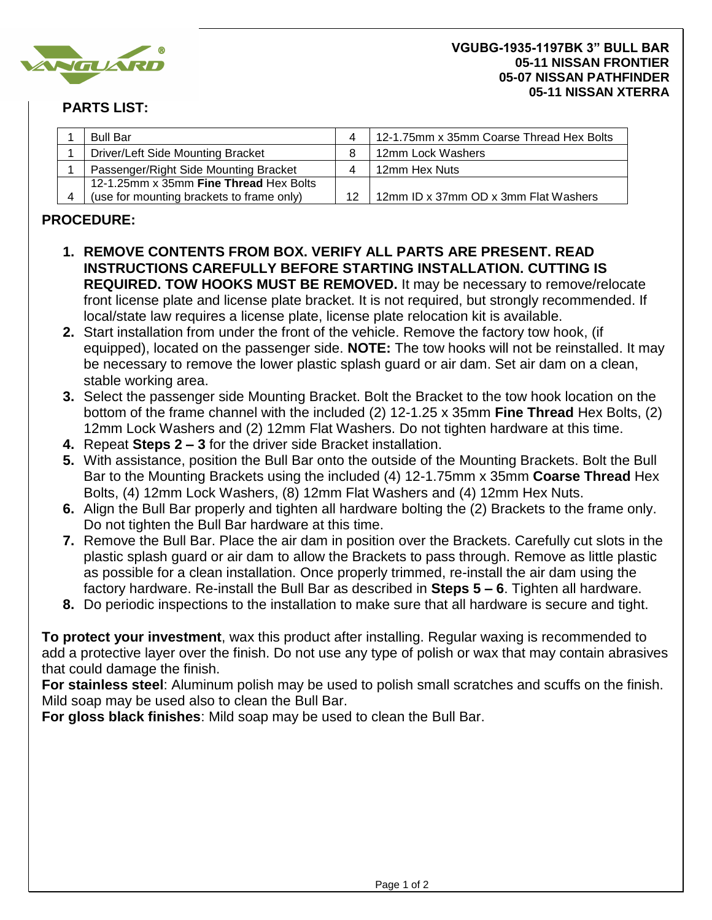

## **PARTS LIST:**

| <b>Bull Bar</b>                           |    | 12-1.75mm x 35mm Coarse Thread Hex Bolts |
|-------------------------------------------|----|------------------------------------------|
| <b>Driver/Left Side Mounting Bracket</b>  |    | 12mm Lock Washers                        |
| Passenger/Right Side Mounting Bracket     |    | 12mm Hex Nuts                            |
| 12-1.25mm x 35mm Fine Thread Hex Bolts    |    |                                          |
| (use for mounting brackets to frame only) | 12 | 12mm ID x 37mm OD x 3mm Flat Washers     |

## **PROCEDURE:**

- **1. REMOVE CONTENTS FROM BOX. VERIFY ALL PARTS ARE PRESENT. READ INSTRUCTIONS CAREFULLY BEFORE STARTING INSTALLATION. CUTTING IS REQUIRED. TOW HOOKS MUST BE REMOVED.** It may be necessary to remove/relocate front license plate and license plate bracket. It is not required, but strongly recommended. If local/state law requires a license plate, license plate relocation kit is available.
- **2.** Start installation from under the front of the vehicle. Remove the factory tow hook, (if equipped), located on the passenger side. **NOTE:** The tow hooks will not be reinstalled. It may be necessary to remove the lower plastic splash guard or air dam. Set air dam on a clean, stable working area.
- **3.** Select the passenger side Mounting Bracket. Bolt the Bracket to the tow hook location on the bottom of the frame channel with the included (2) 12-1.25 x 35mm **Fine Thread** Hex Bolts, (2) 12mm Lock Washers and (2) 12mm Flat Washers. Do not tighten hardware at this time.
- **4.** Repeat **Steps 2 3** for the driver side Bracket installation.
- **5.** With assistance, position the Bull Bar onto the outside of the Mounting Brackets. Bolt the Bull Bar to the Mounting Brackets using the included (4) 12-1.75mm x 35mm **Coarse Thread** Hex Bolts, (4) 12mm Lock Washers, (8) 12mm Flat Washers and (4) 12mm Hex Nuts.
- **6.** Align the Bull Bar properly and tighten all hardware bolting the (2) Brackets to the frame only. Do not tighten the Bull Bar hardware at this time.
- **7.** Remove the Bull Bar. Place the air dam in position over the Brackets. Carefully cut slots in the plastic splash guard or air dam to allow the Brackets to pass through. Remove as little plastic as possible for a clean installation. Once properly trimmed, re-install the air dam using the factory hardware. Re-install the Bull Bar as described in **Steps 5 – 6**. Tighten all hardware.
- **8.** Do periodic inspections to the installation to make sure that all hardware is secure and tight.

**To protect your investment**, wax this product after installing. Regular waxing is recommended to add a protective layer over the finish. Do not use any type of polish or wax that may contain abrasives that could damage the finish.

**For stainless steel**: Aluminum polish may be used to polish small scratches and scuffs on the finish. Mild soap may be used also to clean the Bull Bar.

**For gloss black finishes**: Mild soap may be used to clean the Bull Bar.